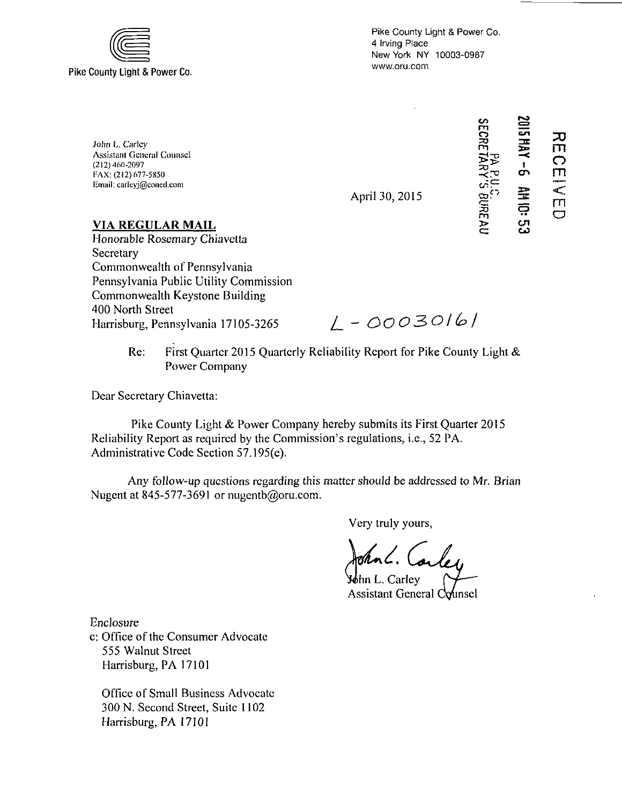

Pike County Light & Power Co. 4 Irving Place New York NY 10003-0987 www.oru.com

John L. Carley Assistant General Counsel (212) 460-2097 FAX: (212) 677-5850 Email: carleyj@coned.com

April 30, 2015



**VIA REGULAR MAIL** 

Honorable Rosemary Chiavetta **Secretary** Commonwealth of Pennsylvania Pennsylvania Public Utility Commission Commonwealth Keystone Building 400 North Street Harrisburg, Pennsylvania 17105-3265

*Z. - 00030/&/* 

Re: First Quarter 2015 Quarterly Reliability Report for Pike County Light & Power Company

Dear Secretary Chiavetta:

Pike County Light & Power Company hereby submits its First Quarter 2015 Reliability Report as required by the Commission's regulations, i.e., 52 PA. Administrative Code Section 57.195(e).

Any follow-up questions regarding this matter should be addressed to Mr. Brian Nugent at 845-577-3691 or nugentb@oru.com.

Very truly yours,

John L. Carley

Mohn L. Carlev Assistant General Counsel

Enclosure

c: Office of the Consumer Advocate 555 Walnut Street Harrisburg, PA 17101

Office of Small Business Advocate 300 N. Second Street, Suite 1102 Harrisburg, PA 17101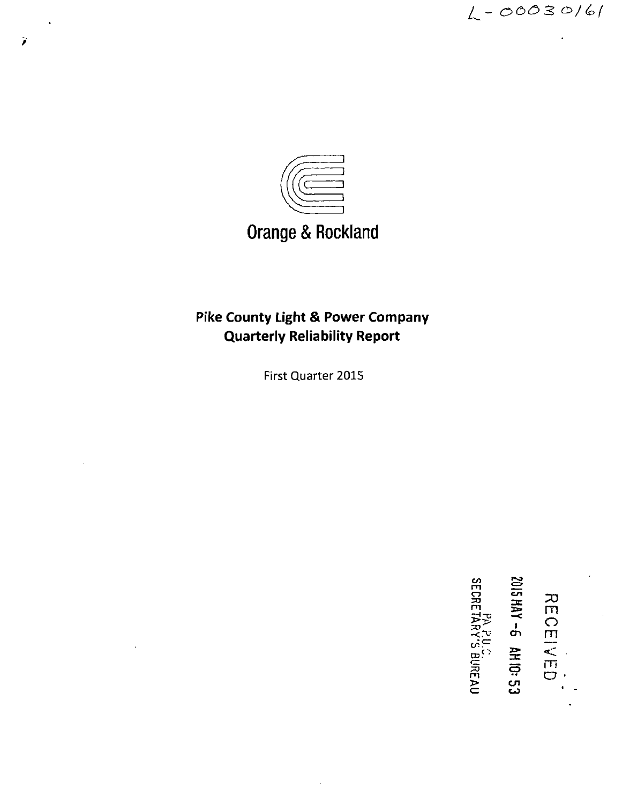

# **Orange & Rockland**

# **Pike County Light & Power Company Quarterly Reliability Report**

First Quarter 2015

**CO**  <u>ຕ - <del>n</del></u> ECE<br>AY-4<br>RAFRE ᇛ<sup>?</sup> 로 진  $\epsilon$   $\omega$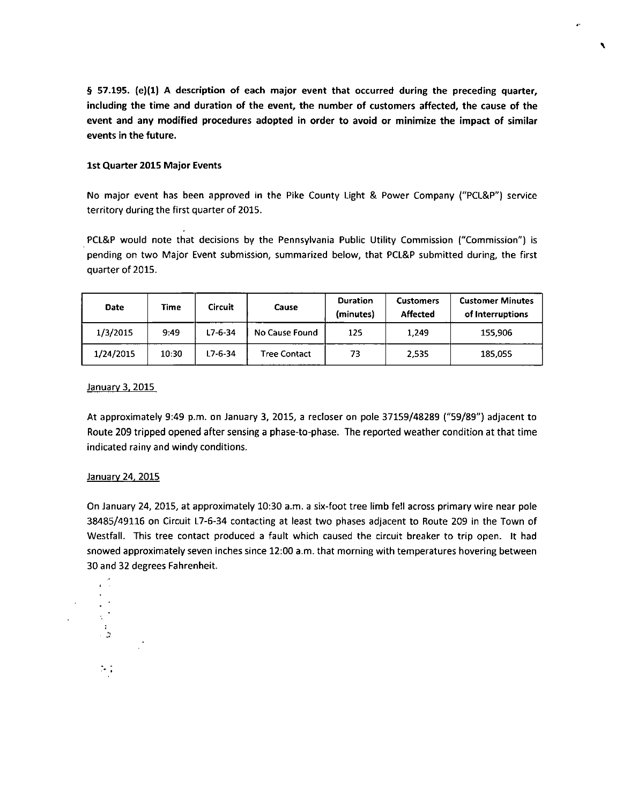**§ 57.195. (e)(1) A description of each major event that occurred during the preceding quarter, including the time and duration of the event, the number of customers affected, the cause of the event and any modified procedures adopted in order to avoid or minimize the impact of similar events in the future.** 

٩

#### **1st Quarter 2015 Major Events**

No major event has been approved in the Pike County Light & Power Company ("PCL&P") service territory during the first quarter of 2015.

PCL&P would note that decisions by the Pennsylvania Public Utility Commission ("Commission") is pending on two Major Event submission, summarized below, that PCL&P submitted during, the first quarter of 2015.

| <b>Date</b> | Time  | Circuit       | Cause               | <b>Duration</b><br>(minutes) | <b>Customers</b><br><b>Affected</b> | <b>Customer Minutes</b><br>of Interruptions |  |
|-------------|-------|---------------|---------------------|------------------------------|-------------------------------------|---------------------------------------------|--|
| 1/3/2015    | 9:49  | $L7 - 6 - 34$ | No Cause Found      | 125                          | 1,249                               | 155,906                                     |  |
| 1/24/2015   | 10:30 | L7-6-34       | <b>Tree Contact</b> | 73                           | 2,535                               | 185,055                                     |  |

#### January 3, 2015

At approximately 9:49 p.m. on January 3, 2015, a recloser on pole 37159/48289 ("59/89") adjacent to Route 209 tripped opened after sensing a phase-to-phase. The reported weather condition at that time indicated rainy and windy conditions.

### January 24, 2015

 $\sim$  3

 $\sim$  .

On January 24, 2015, at approximately 10:30 a.m. a six-foot tree limb fell across primary wire near pole 38485/49116 on Circuit L7-6-34 contacting at least two phases adjacent to Route 209 in the Town of Westfall. This tree contact produced a fault which caused the circuit breaker to trip open. It had snowed approximately seven inches since 12:00 a.m. that morning with temperatures hovering between 30 and 32 degrees Fahrenheit.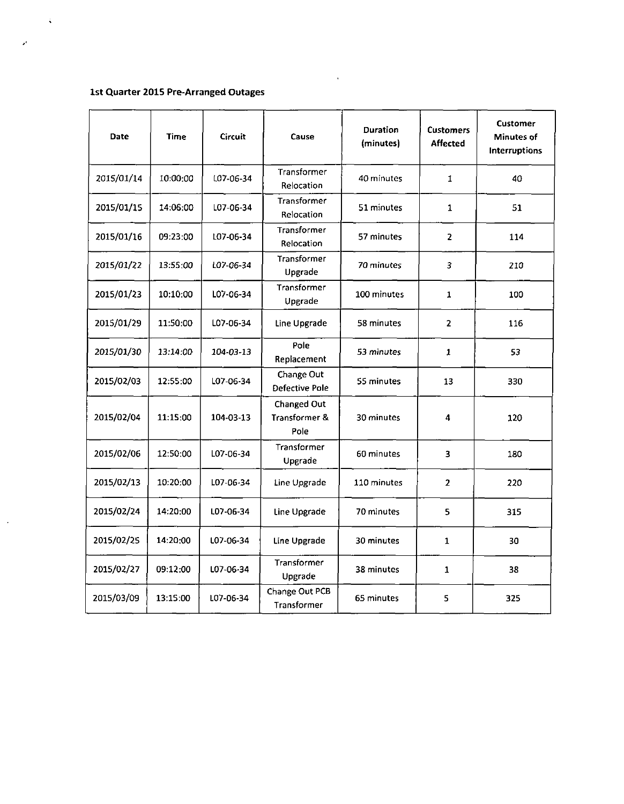# **1st Quarter 2015 Pre-Arranged Outages**

 $\hat{\mathbf{v}}$ 

 $\mathcal{P}$ 

 $\mathcal{A}$ 

| Date       | Time     | <b>Circuit</b> | Cause                                       | <b>Duration</b><br>(minutes) |                | <b>Customer</b><br><b>Minutes of</b><br><b>Interruptions</b> |
|------------|----------|----------------|---------------------------------------------|------------------------------|----------------|--------------------------------------------------------------|
| 2015/01/14 | 10:00:00 | L07-06-34      | Transformer<br>Relocation                   | 40 minutes                   | 1              | 40                                                           |
| 2015/01/15 | 14:06:00 | L07-06-34      | <b>Transformer</b><br>Relocation            | 51 minutes                   | 1              | 51                                                           |
| 2015/01/16 | 09:23:00 | L07-06-34      | Transformer<br>Relocation                   | 57 minutes                   | $\overline{2}$ | 114                                                          |
| 2015/01/22 | 13:55:00 | L07-06-34      | Transformer<br>Upgrade                      | 70 minutes                   | 3              | 210                                                          |
| 2015/01/23 | 10:10:00 | L07-06-34      | Transformer<br>Upgrade                      | 100 minutes                  | 1              | 100                                                          |
| 2015/01/29 | 11:50:00 | L07-06-34      | Line Upgrade                                | 58 minutes                   | $\overline{2}$ | 116                                                          |
| 2015/01/30 | 13:14:00 | 104-03-13      | Pole<br>Replacement                         | 53 minutes                   | $\mathbf{1}$   | 53                                                           |
| 2015/02/03 | 12:55:00 | L07-06-34      | Change Out<br><b>Defective Pole</b>         | 55 minutes                   | 13             | 330                                                          |
| 2015/02/04 | 11:15:00 | 104-03-13      | <b>Changed Out</b><br>Transformer &<br>Pole | 30 minutes                   | 4              | 120                                                          |
| 2015/02/06 | 12:50:00 | L07-06-34      | Transformer<br>Upgrade                      | 60 minutes                   | 3              | 180                                                          |
| 2015/02/13 | 10.20:00 | L07-06-34      | Line Upgrade                                | 110 minutes                  | $\overline{2}$ | 220                                                          |
| 2015/02/24 | 14:20:00 | L07-06-34      | Line Upgrade                                | 70 minutes                   | 5              | 315                                                          |
| 2015/02/25 | 14:20:00 | L07-06-34      | Line Upgrade                                | 30 minutes                   | $\mathbf{1}$   | 30                                                           |
| 2015/02/27 | 09:12:00 | L07-06-34      | Transformer<br>Upgrade                      | 38 minutes                   | $\mathbf{1}$   | 38                                                           |
| 2015/03/09 | 13:15:00 | L07-06-34      | Change Out PCB<br>Transformer               | 65 minutes                   | 5              | 325                                                          |

 $\ddot{\phantom{0}}$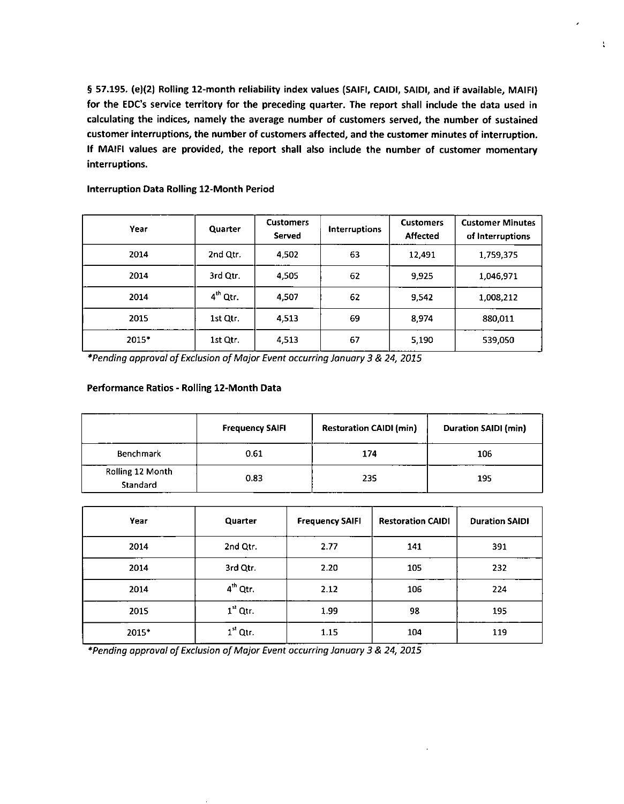**§ 57.195. (e)(2) Rolling 12-month reliability index values (SAIFI, CAIDI, SAIDI, and if available, MAIFI)**  for the EDC's service territory for the preceding quarter. The report shall include the data used in **calculating the indices, namely the average number of customers served, the number of sustained customer interruptions, the number of customers affected, and the customer minutes of interruption. If MAIFI values are provided, the report shall also include the number of customer momentary interruptions.** 

t

| Year  | Quarter    | <b>Customers</b><br>Served | <b>Interruptions</b> | <b>Customers</b><br>Affected | <b>Customer Minutes</b><br>of Interruptions |
|-------|------------|----------------------------|----------------------|------------------------------|---------------------------------------------|
| 2014  | 2nd Qtr.   | 4,502                      | 63                   | 12.491                       | 1.759,375                                   |
| 2014  | 3rd Qtr.   | 4,505                      | 62                   | 9,925                        | 1,046,971                                   |
| 2014  | $4th$ Qtr. | 4,507                      | 62                   | 9.542                        | 1,008,212                                   |
| 2015  | 1st Qtr.   | 4,513                      | 69                   | 8,974                        | 880,011                                     |
| 2015* | 1st Qtr.   | 4,513                      | 67                   | 5,190                        | 539,050                                     |

**Interruption Data Rolling 12-Month Period** 

**\*Pending approval of Exclusion of Major Event occurring January 3 & 24, 2015** 

## **Performance Ratios - Rolling 12-Month Data**

|                              | <b>Frequency SAIFI</b> | <b>Restoration CAIDI (min)</b> | <b>Duration SAIDI (min)</b> |
|------------------------------|------------------------|--------------------------------|-----------------------------|
| <b>Benchmark</b>             | 0.61                   | 174                            | 106                         |
| Rolling 12 Month<br>Standard | 0.83                   | 235                            | 195                         |

| Year  | Quarter    | <b>Frequency SAIFI</b> | <b>Restoration CAIDI</b> | <b>Duration SAIDI</b> |
|-------|------------|------------------------|--------------------------|-----------------------|
| 2014  | 2nd Qtr.   | 2.77                   | 141                      | 391                   |
| 2014  | 3rd Qtr.   | 2.20                   | 105                      | 232                   |
| 2014  | $4th$ Qtr. | 2.12                   | 106                      | 224                   |
| 2015  | $1st$ Qtr. | 1.99                   | 98                       | 195                   |
| 2015* | $1it$ Qtr. | 1.15                   | 104                      | 119                   |

\*Pending approval of Exclusion of Major Event occurring January 3 & 24, 2015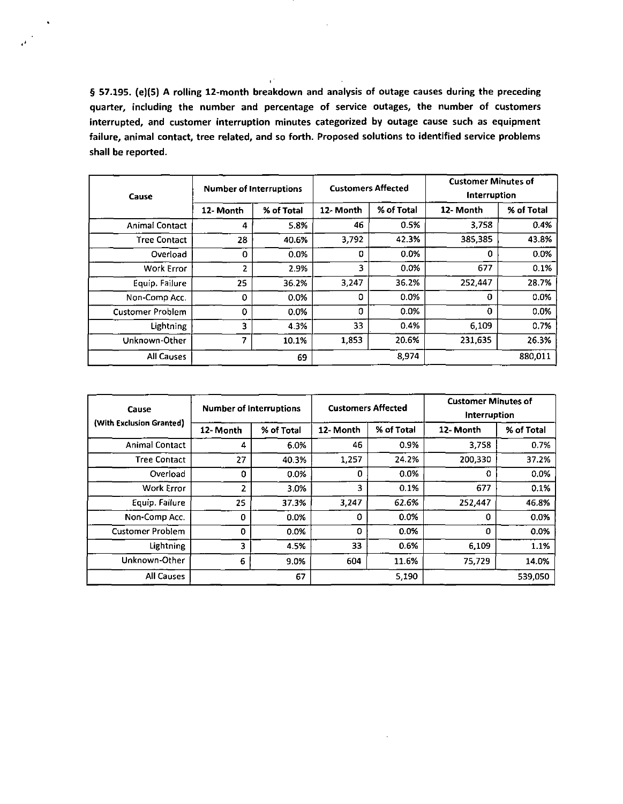**§ 57.195. (e)(5) A rolling 12-month breakdown and analysis of outage causes during the preceding quarter, including the number and percentage of service outages, the number of customers interrupted, and customer interruption minutes categorized by outage cause such as equipment failure, animal contact, tree related, and so forth. Proposed solutions to identified service problems shall be reported.** 

 $\mathbf{u}^{\star}$ 

 $\epsilon^{(k)}$ 

| Cause                   | <b>Number of Interruptions</b> |            | <b>Customers Affected</b> |            | <b>Customer Minutes of</b><br>Interruption |            |
|-------------------------|--------------------------------|------------|---------------------------|------------|--------------------------------------------|------------|
|                         | 12- Month                      | % of Total | 12-Month                  | % of Total | 12- Month                                  | % of Total |
| <b>Animal Contact</b>   | 4                              | 5.8%       | 46                        | 0.5%       | 3.758                                      | 0.4%       |
| <b>Tree Contact</b>     | 28                             | 40.6%      | 3,792                     | 42.3%      | 385,385                                    | 43.8%      |
| Overload                | 0                              | 0.0%       | 0                         | 0.0%       | 0                                          | 0.0%       |
| Work Error              | 2                              | 2.9%       | 3                         | 0.0%       | 677                                        | 0.1%       |
| Equip. Failure          | 25                             | 36.2%      | 3,247                     | 36.2%      | 252,447                                    | 28.7%      |
| Non-Comp Acc.           | $\Omega$                       | 0.0%       | 0                         | 0.0%       | 0                                          | 0.0%       |
| <b>Customer Problem</b> | 0                              | 0.0%       | 0                         | 0.0%       | 0                                          | 0.0%       |
| Lightning               | 3                              | 4.3%       | 33                        | 0.4%       | 6,109                                      | 0.7%       |
| Unknown-Other           | 7                              | 10.1%      | 1,853                     | 20.6%      | 231,635                                    | 26.3%      |
| All Causes<br>69        |                                |            | 8,974                     |            | 880,011                                    |            |

| Cause                    | <b>Number of Interruptions</b> |            | <b>Customers Affected</b> |            | <b>Customer Minutes of</b><br>Interruption |            |
|--------------------------|--------------------------------|------------|---------------------------|------------|--------------------------------------------|------------|
| (With Exclusion Granted) | 12- Month                      | % of Total | 12- Month                 | % of Total | 12- Month                                  | % of Total |
| <b>Animal Contact</b>    | 4                              | 6.0%       | 46                        | 0.9%       | 3,758                                      | 0.7%       |
| <b>Tree Contact</b>      | 27                             | 40.3%      | 1,257                     | 24.2%      | 200,330                                    | 37.2%      |
| Overload                 | 0                              | 0.0%       | 0                         | 0.0%       | 0                                          | 0.0%       |
| <b>Work Error</b>        | 2                              | 3.0%       | 3                         | 0.1%       | 677                                        | 0.1%       |
| Equip. Failure           | 25                             | 37.3%      | 3,247                     | 62.6%      | 252,447                                    | 46.8%      |
| Non-Comp Acc.            | 0                              | 0.0%       | Ω                         | 0.0%       | 0                                          | 0.0%       |
| <b>Customer Problem</b>  | $\mathbf 0$                    | 0.0%       | 0                         | $0.0\%$    | 0                                          | 0.0%       |
| <b>Lightning</b>         | 3                              | 4.5%       | 33                        | 0.6%       | 6,109                                      | 1.1%       |
| Unknown-Other            | 6                              | 9.0%       | 604                       | 11.6%      | 75 729                                     | 14.0%      |
| All Causes               |                                | 67         |                           | 5,190      |                                            | 539,050    |

 $\cdot$